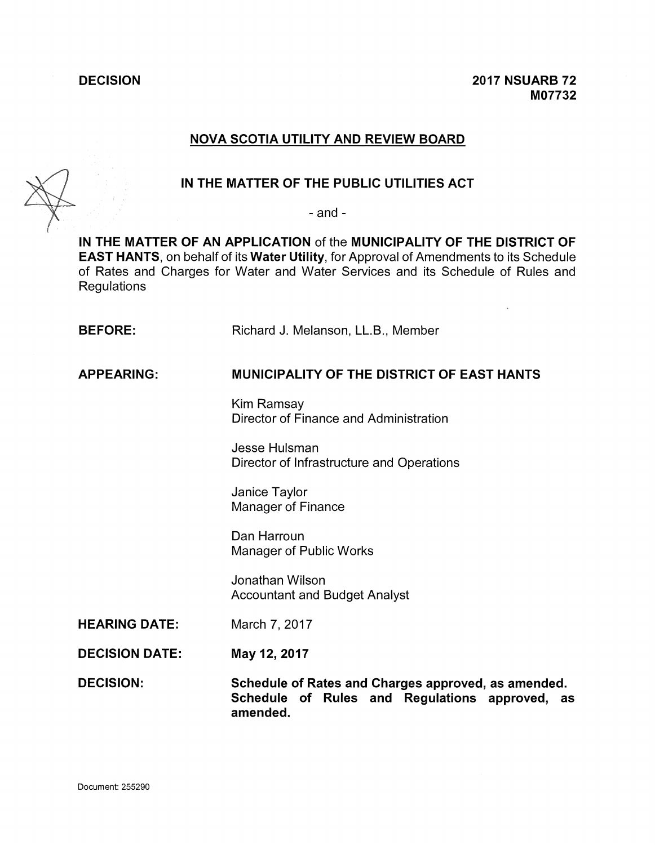**DECISION 2017 NSUARB 72 M07732**

# **NOVA SCOTIA UTILITY AND REVIEW BOARD**



# **IN THE MATTER OF THE PUBLIC UTILITIES ACT**

- and -

**IN THE MATTER OF AN APPLICATION** of the **MUNICIPALITY OF THE DISTRICT OF EAST HANTS,** on behalf of its **Water Utility,** for Approval of Amendments to its Schedule of Rates and Charges for Water and Water Services and its Schedule of Rules and **Regulations** 

**BEFORE:** Richard J. Melanson, LL.B., Member

**APPEARING: MUNICIPALITY OF THE DISTRICT OF EAST HANTS**

Kim Ramsay Director of Finance and Administration

Jesse Hulsman Director of Infrastructure and Operations

Janice Taylor Manager of Finance

Dan Harroun Manager of Public Works

Jonathan Wilson Accountant and Budget Analyst

**HEARING DATE:** March 7, 2017

**DECISION DATE: May 12, 2017**

**DECISION: Schedule of Rates and Charges approved, as amended. Schedule of Rules and Regulations approved, as amended.**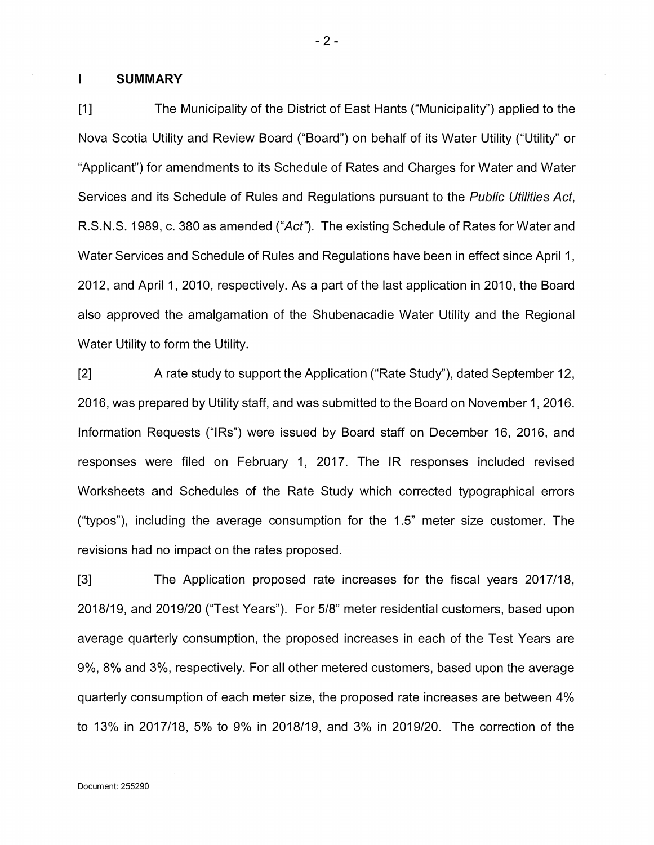#### **<sup>I</sup> SUMMARY**

[1] The Municipality of the District of East Hants ("Municipality") applied to the Nova Scotia Utility and Review Board ("Board") on behalf of its Water Utility ("Utility" or "Applicant") for amendments to its Schedule of Rates and Charges for Water and Water Services and its Schedule of Rules and Regulations pursuant to the *Public Utilities Act,* R.S.N.S. 1989, c. 380 as amended *("Act").* The existing Schedule of Rates for Water and Water Services and Schedule of Rules and Regulations have been in effect since April 1, 2012, and April 1, 2010, respectively. As a part of the last application in 2010, the Board also approved the amalgamation of the Shubenacadie Water Utility and the Regional Water Utility to form the Utility.

[2] A rate study to support the Application ("Rate Study"), dated September 12, 2016, was prepared by Utility staff, and was submitted to the Board on November 1,2016. Information Requests ("IRs") were issued by Board staff on December 16, 2016, and responses were filed on February 1, 2017. The IR responses included revised Worksheets and Schedules of the Rate Study which corrected typographical errors ("typos"), including the average consumption for the 1.5" meter size customer. The revisions had no impact on the rates proposed.

[3] The Application proposed rate increases for the fiscal years 2017/18, 2018/19, and 2019/20 ("Test Years"). For 5/8" meter residential customers, based upon average quarterly consumption, the proposed increases in each of the Test Years are 9%, 8% and 3%, respectively. For all other metered customers, based upon the average quarterly consumption of each meter size, the proposed rate increases are between 4% to 13% in 2017/18, 5% to 9% in 2018/19, and 3% in 2019/20. The correction of the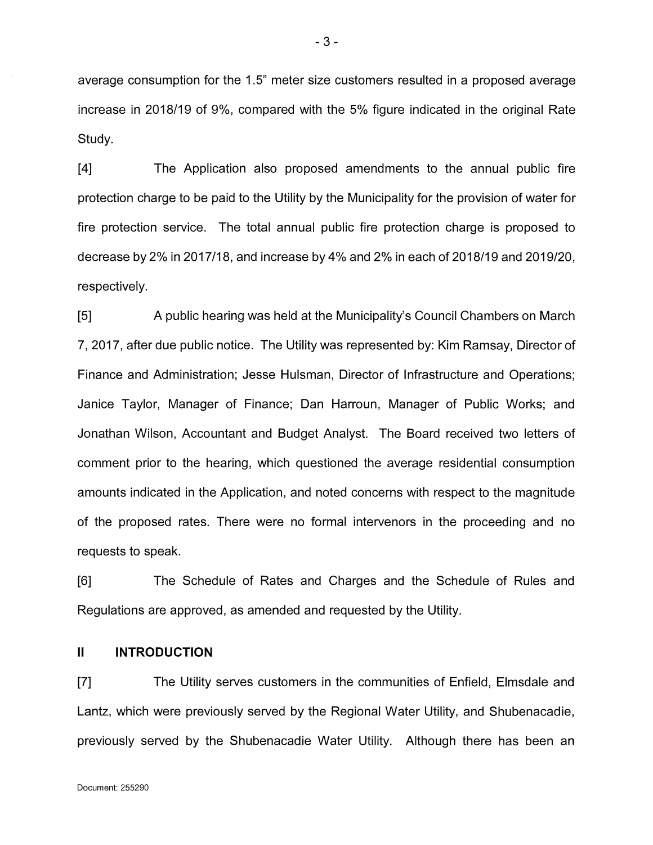average consumption for the 1.5" meter size customers resulted in a proposed average increase in 2018/19 of 9%, compared with the 5% figure indicated in the original Rate Study.

[4] The Application also proposed amendments to the annual public fire protection charge to be paid to the Utility by the Municipality for the provision of water for fire protection service. The total annual public fire protection charge is proposed to decrease by 2% in 2017/18, and increase by 4% and 2% in each of 2018/19 and 2019/20, respectively.

[5] A public hearing was held at the Municipality's Council Chambers on March 7, 2017, after due public notice. The Utility was represented by: Kim Ramsay, Director of Finance and Administration; Jesse Hulsman, Director of Infrastructure and Operations; Janice Taylor, Manager of Finance; Dan Harroun, Manager of Public Works; and Jonathan Wilson, Accountant and Budget Analyst. The Board received two letters of comment prior to the hearing, which questioned the average residential consumption amounts indicated in the Application, and noted concerns with respect to the magnitude of the proposed rates. There were no formal intervenors in the proceeding and no requests to speak.

[6] The Schedule of Rates and Charges and the Schedule of Rules and Regulations are approved, as amended and requested by the Utility.

#### **II INTRODUCTION**

[7] The Utility serves customers in the communities of Enfield, Elmsdale and Lantz, which were previously served by the Regional Water Utility, and Shubenacadie, previously served by the Shubenacadie Water Utility. Although there has been an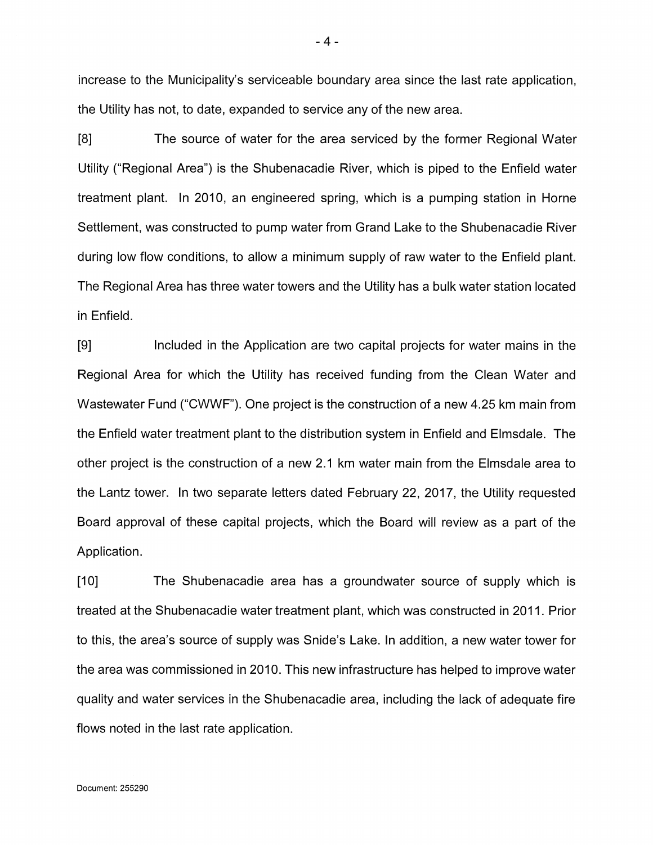increase to the Municipality's serviceable boundary area since the last rate application, the Utility has not, to date, expanded to service any of the new area.

[8] The source of water for the area serviced by the former Regional Water Utility ("Regional Area") is the Shubenacadie River, which is piped to the Enfield water treatment plant. In 2010, an engineered spring, which is a pumping station in Horne Settlement, was constructed to pump water from Grand Lake to the Shubenacadie River during low flow conditions, to allow a minimum supply of raw water to the Enfield plant. The Regional Area has three water towers and the Utility has a bulk water station located in Enfield.

[9] Included in the Application are two capital projects for water mains in the Regional Area for which the Utility has received funding from the Clean Water and Wastewater Fund ("CWWF"). One project is the construction of a new 4.25 km main from the Enfield water treatment plant to the distribution system in Enfield and Elmsdale. The other project is the construction of a new 2.1 km water main from the Elmsdale area to the Lantz tower. In two separate letters dated February 22, 2017, the Utility requested Board approval of these capital projects, which the Board will review as a part of the Application.

[10] The Shubenacadie area has a groundwater source of supply which is treated at the Shubenacadie water treatment plant, which was constructed in 2011. Prior to this, the area's source of supply was Snide's Lake. In addition, a new water tower for the area was commissioned in 2010. This new infrastructure has helped to improve water quality and water services in the Shubenacadie area, including the lack of adequate fire flows noted in the last rate application.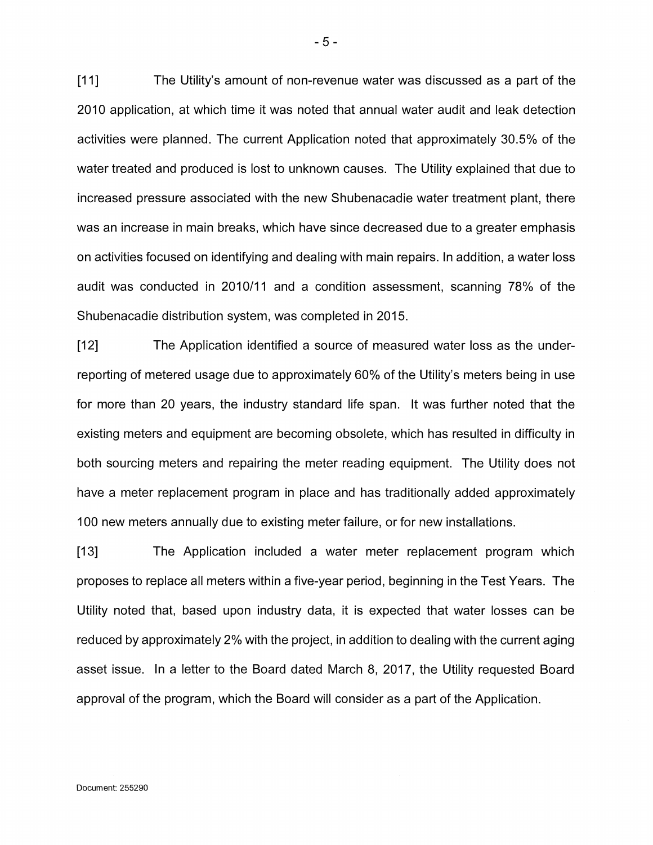[11] The Utility's amount of non-revenue water was discussed as a part of the 2010 application, at which time it was noted that annual water audit and leak detection activities were planned. The current Application noted that approximately 30.5% of the water treated and produced is lost to unknown causes. The Utility explained that due to increased pressure associated with the new Shubenacadie water treatment plant, there was an increase in main breaks, which have since decreased due to a greater emphasis on activities focused on identifying and dealing with main repairs. In addition, a water loss audit was conducted in 2010/11 and a condition assessment, scanning 78% of the Shubenacadie distribution system, was completed in 2015.

[12] The Application identified a source of measured water loss as the underreporting of metered usage due to approximately 60% of the Utility's meters being in use for more than 20 years, the industry standard life span. It was further noted that the existing meters and equipment are becoming obsolete, which has resulted in difficulty in both sourcing meters and repairing the meter reading equipment. The Utility does not have a meter replacement program in place and has traditionally added approximately 100 new meters annually due to existing meter failure, or for new installations.

[13] The Application included a water meter replacement program which proposes to replace all meters within a five-year period, beginning in the Test Years. The Utility noted that, based upon industry data, it is expected that water losses can be reduced by approximately 2% with the project, in addition to dealing with the current aging asset issue. In a letter to the Board dated March 8, 2017, the Utility requested Board approval of the program, which the Board will consider as a part of the Application.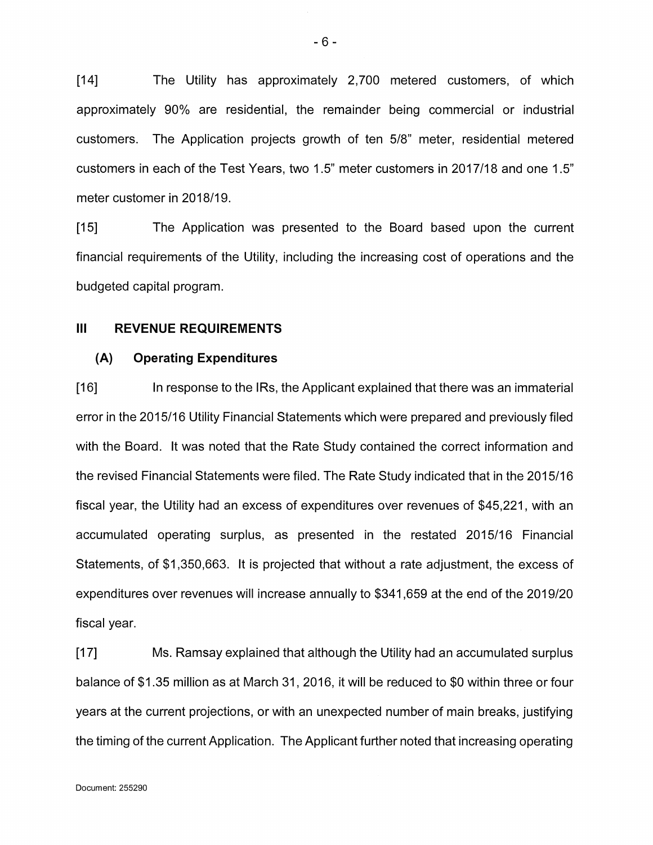[14] The Utility has approximately 2,700 metered customers, of which approximately 90% are residential, the remainder being commercial or industrial customers. The Application projects growth of ten 5/8" meter, residential metered customers in each of the Test Years, two 1.5" meter customers in 2017/18 and one 1.5" meter customer in 2018/19.

[15] The Application was presented to the Board based upon the current financial requirements of the Utility, including the increasing cost of operations and the budgeted capital program.

### **Ill REVENUE REQUIREMENTS**

### **(A) Operating Expenditures**

[16] In response to the IRs, the Applicant explained that there was an immaterial error in the 2015/16 Utility Financial Statements which were prepared and previously filed with the Board. It was noted that the Rate Study contained the correct information and the revised Financial Statements were filed. The Rate Study indicated that in the 2015/16 fiscal year, the Utility had an excess of expenditures over revenues of \$45,221, with an accumulated operating surplus, as presented in the restated 2015/16 Financial Statements, of \$1,350,663. It is projected that without a rate adjustment, the excess of expenditures over revenues will increase annually to \$341,659 at the end of the 2019/20 fiscal year.

[17] Ms. Ramsay explained that although the Utility had an accumulated surplus balance of \$1.35 million as at March 31,2016, it will be reduced to \$0 within three or four years at the current projections, or with an unexpected number of main breaks, justifying the timing of the current Application. The Applicant further noted that increasing operating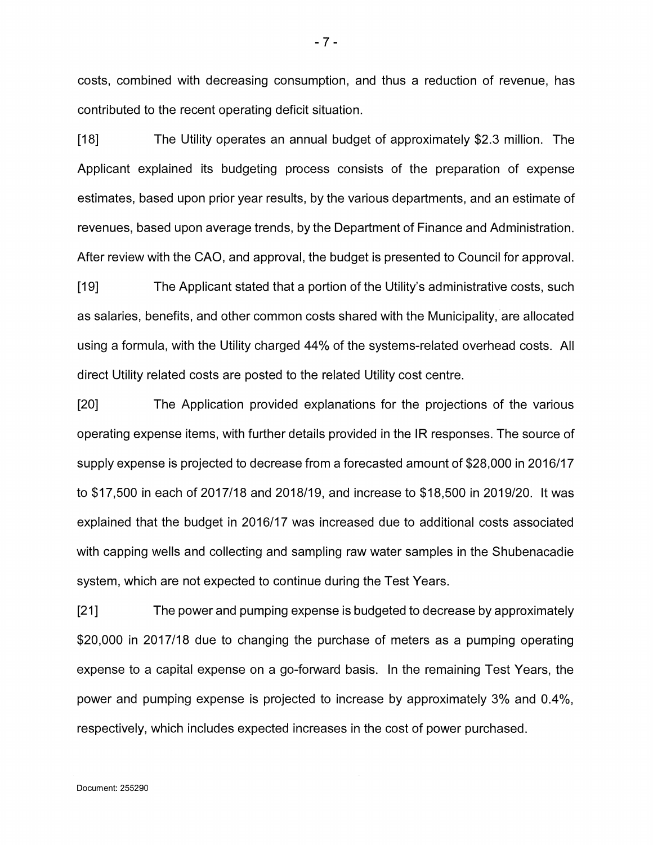costs, combined with decreasing consumption, and thus a reduction of revenue, has contributed to the recent operating deficit situation.

[18] The Utility operates an annual budget of approximately \$2.3 million. The Applicant explained its budgeting process consists of the preparation of expense estimates, based upon prior year results, by the various departments, and an estimate of revenues, based upon average trends, by the Department of Finance and Administration. After review with the CAO, and approval, the budget is presented to Council for approval.

[19] The Applicant stated that a portion of the Utility's administrative costs, such as salaries, benefits, and other common costs shared with the Municipality, are allocated using a formula, with the Utility charged 44% of the systems-related overhead costs. All direct Utility related costs are posted to the related Utility cost centre.

[20] The Application provided explanations for the projections of the various operating expense items, with further details provided in the IR responses. The source of supply expense is projected to decrease from a forecasted amount of \$28,000 in 2016/17 to \$17,500 in each of 2017/18 and 2018/19, and increase to \$18,500 in 2019/20. It was explained that the budget in 2016/17 was increased due to additional costs associated with capping wells and collecting and sampling raw water samples in the Shubenacadie system, which are not expected to continue during the Test Years.

[21 ] The power and pumping expense is budgeted to decrease by approximately \$20,000 in 2017/18 due to changing the purchase of meters as a pumping operating expense to a capital expense on a go-forward basis. In the remaining Test Years, the power and pumping expense is projected to increase by approximately 3% and 0.4%, respectively, which includes expected increases in the cost of power purchased.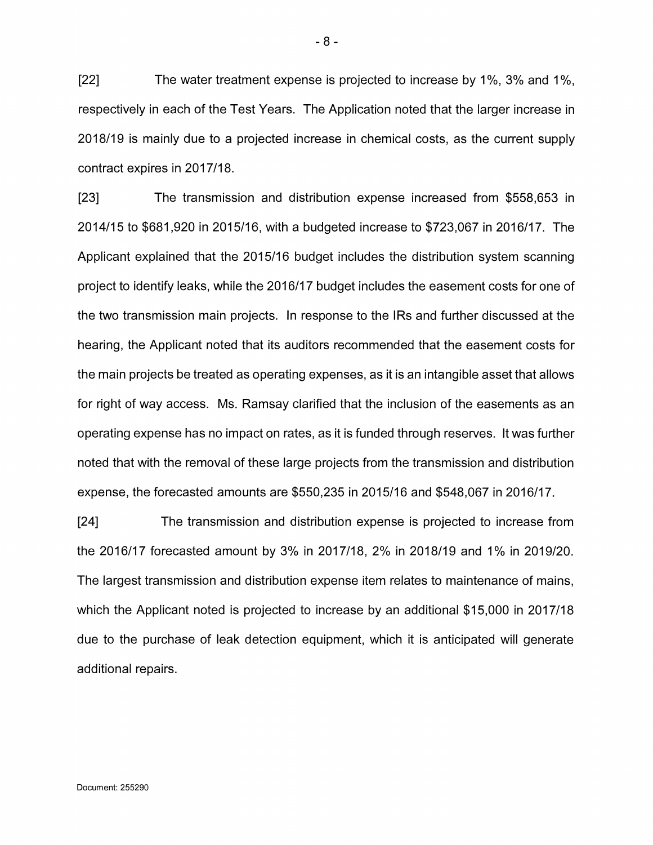[22] The water treatment expense is projected to increase by 1%, 3% and 1%, respectively in each of the Test Years. The Application noted that the larger increase in 2018/19 is mainly due to a projected increase in chemical costs, as the current supply contract expires in 2017/18.

[23] The transmission and distribution expense increased from \$558,653 in 2014/15 to \$681,920 in 2015/16, with a budgeted increase to \$723,067 in 2016/17. The Applicant explained that the 2015/16 budget includes the distribution system scanning project to identify leaks, while the 2016/17 budget includes the easement costs for one of the two transmission main projects. In response to the IRs and further discussed at the hearing, the Applicant noted that its auditors recommended that the easement costs for the main projects be treated as operating expenses, as it is an intangible asset that allows for right of way access. Ms. Ramsay clarified that the inclusion of the easements as an operating expense has no impact on rates, as it is funded through reserves. It was further noted that with the removal of these large projects from the transmission and distribution expense, the forecasted amounts are \$550,235 in 2015/16 and \$548,067 in 2016/17.

[24] The transmission and distribution expense is projected to increase from the 2016/17 forecasted amount by 3% in 2017/18, 2% in 2018/19 and 1% in 2019/20. The largest transmission and distribution expense item relates to maintenance of mains, which the Applicant noted is projected to increase by an additional \$15,000 in 2017/18 due to the purchase of leak detection equipment, which it is anticipated will generate additional repairs.

-8-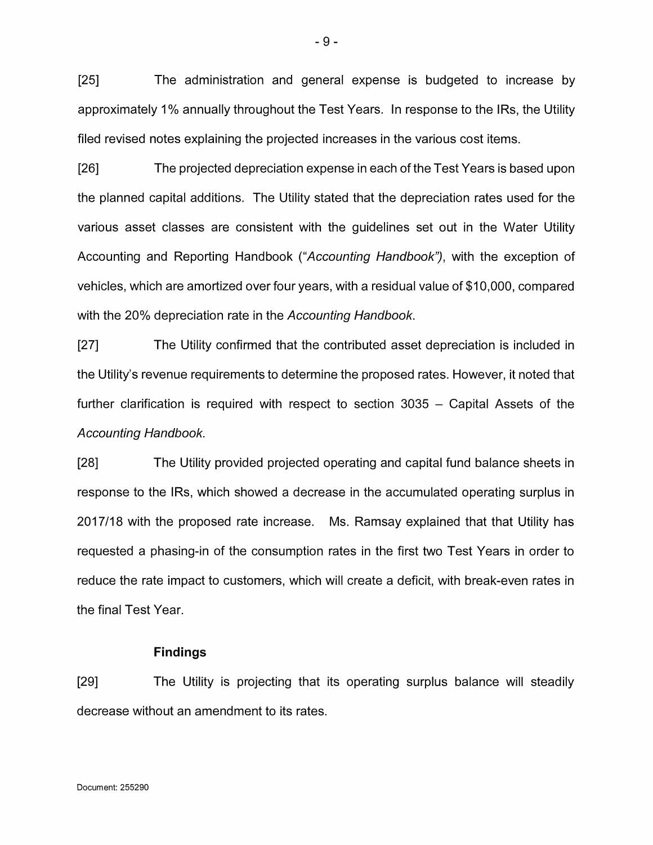[25] The administration and general expense is budgeted to increase by approximately <sup>1</sup> % annually throughout the Test Years. In response to the IRs, the Utility filed revised notes explaining the projected increases in the various cost items.

[26] The projected depreciation expense in each of the Test Years is based upon the planned capital additions. The Utility stated that the depreciation rates used for the various asset classes are consistent with the guidelines set out in the Water Utility Accounting and Reporting Handbook *("Accounting Handbook"),* with the exception of vehicles, which are amortized over four years, with a residual value of \$10,000, compared with the 20% depreciation rate in the *Accounting Handbook.*

[27] The Utility confirmed that the contributed asset depreciation is included in the Utility's revenue requirements to determine the proposed rates. However, it noted that further clarification is required with respect to section  $3035 -$  Capital Assets of the *Accounting Handbook.*

[28] The Utility provided projected operating and capital fund balance sheets in response to the IRs, which showed a decrease in the accumulated operating surplus in 2017/18 with the proposed rate increase. Ms. Ramsay explained that that Utility has requested a phasing-in of the consumption rates in the first two Test Years in order to reduce the rate impact to customers, which will create a deficit, with break-even rates in the final Test Year.

### **Findings**

[29] The Utility is projecting that its operating surplus balance will steadily decrease without an amendment to its rates.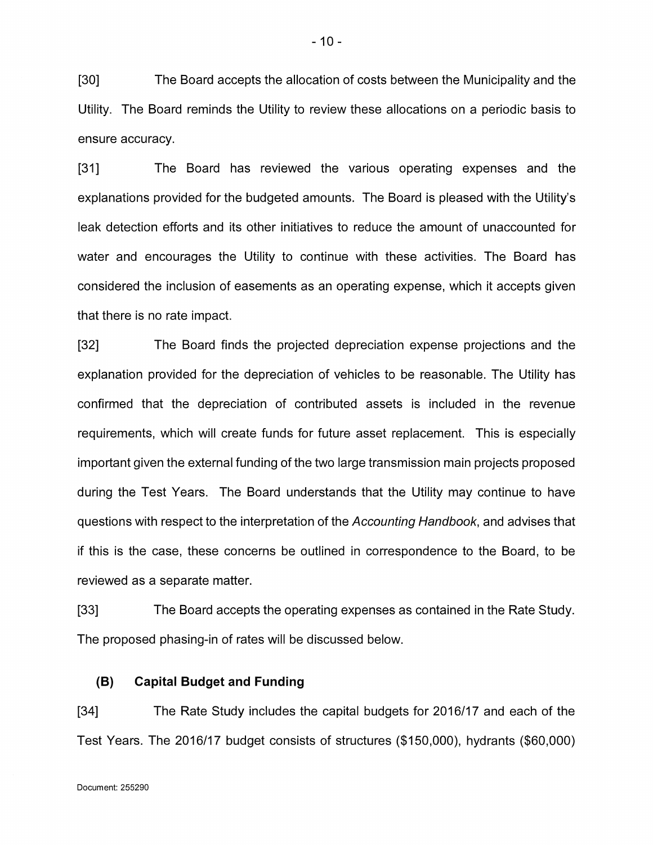[30] The Board accepts the allocation of costs between the Municipality and the Utility. The Board reminds the Utility to review these allocations on a periodic basis to ensure accuracy.

[31] The Board has reviewed the various operating expenses and the explanations provided for the budgeted amounts. The Board is pleased with the Utility's leak detection efforts and its other initiatives to reduce the amount of unaccounted for water and encourages the Utility to continue with these activities. The Board has considered the inclusion of easements as an operating expense, which it accepts given that there is no rate impact.

[32] The Board finds the projected depreciation expense projections and the explanation provided for the depreciation of vehicles to be reasonable. The Utility has confirmed that the depreciation of contributed assets is included in the revenue requirements, which will create funds for future asset replacement. This is especially important given the external funding of the two large transmission main projects proposed during the Test Years. The Board understands that the Utility may continue to have questions with respect to the interpretation of the *Accounting Handbook,* and advises that if this is the case, these concerns be outlined in correspondence to the Board, to be reviewed as a separate matter.

[33] The Board accepts the operating expenses as contained in the Rate Study. The proposed phasing-in of rates will be discussed below.

#### **(B)Capital Budget and Funding**

[34] The Rate Study includes the capital budgets for 2016/17 and each of the Test Years. The 2016/17 budget consists of structures (\$150,000), hydrants (\$60,000)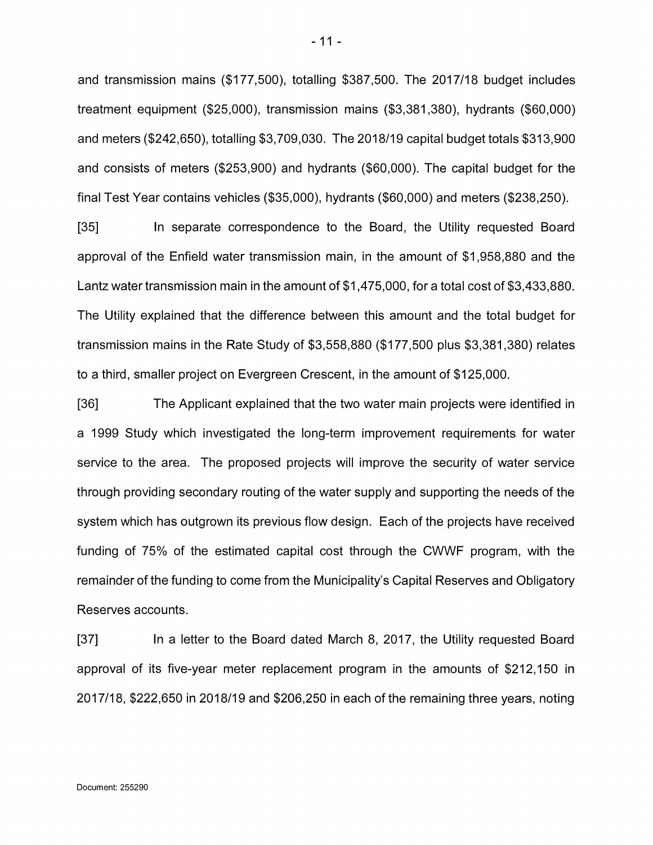and transmission mains (\$177,500), totalling \$387,500. The 2017/18 budget includes treatment equipment (\$25,000), transmission mains (\$3,381,380), hydrants (\$60,000) and meters (\$242,650), totalling \$3,709,030. The 2018/19 capital budget totals \$313,900 and consists of meters (\$253,900) and hydrants (\$60,000). The capital budget for the final Test Year contains vehicles (\$35,000), hydrants (\$60,000) and meters (\$238,250).

[35] In separate correspondence to the Board, the Utility requested Board approval of the Enfield water transmission main, in the amount of \$1,958,880 and the Lantz water transmission main in the amount of \$1,475,000, for a total cost of \$3,433,880. The Utility explained that the difference between this amount and the total budget for transmission mains in the Rate Study of \$3,558,880 (\$177,500 plus \$3,381,380) relates to a third, smaller project on Evergreen Crescent, in the amount of \$125,000.

[36] The Applicant explained that the two water main projects were identified in a 1999 Study which investigated the long-term improvement requirements for water service to the area. The proposed projects will improve the security of water service through providing secondary routing of the water supply and supporting the needs of the system which has outgrown its previous flow design. Each of the projects have received funding of 75% of the estimated capital cost through the CWWF program, with the remainder of the funding to come from the Municipality's Capital Reserves and Obligatory Reserves accounts.

[37] In a letter to the Board dated March 8, 2017, the Utility requested Board approval of its five-year meter replacement program in the amounts of \$212,150 in 2017/18, \$222,650 in 2018/19 and \$206,250 in each of the remaining three years, noting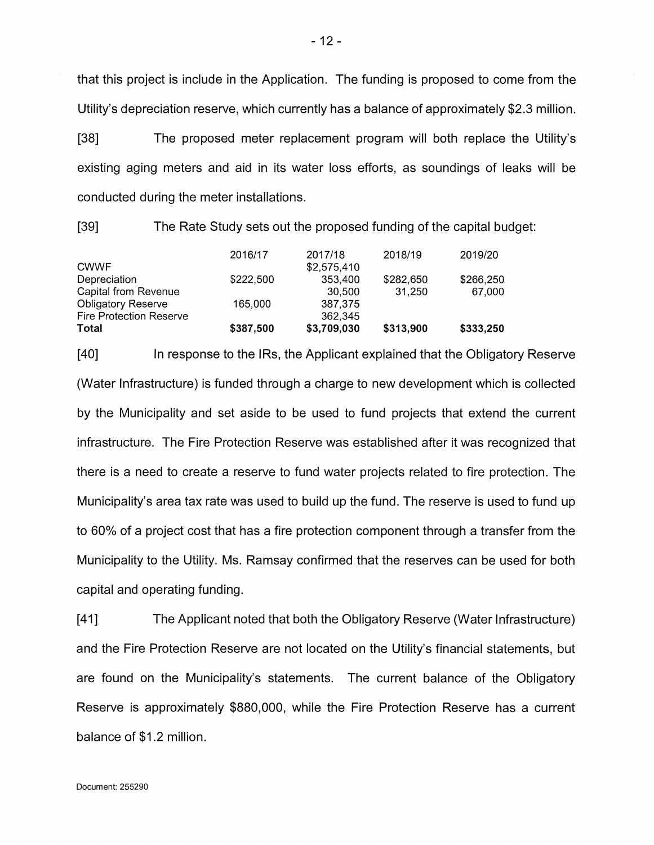that this project is include in the Application. The funding is proposed to come from the Utility's depreciation reserve, which currently has a balance of approximately \$2.3 million.

[38] The proposed meter replacement program will both replace the Utility's existing aging meters and aid in its water loss efforts, as soundings of leaks will be conducted during the meter installations.

[39] The Rate Study sets out the proposed funding of the capital budget:

|                                | 2016/17   | 2017/18     | 2018/19   | 2019/20   |
|--------------------------------|-----------|-------------|-----------|-----------|
| <b>CWWF</b>                    |           | \$2,575,410 |           |           |
| Depreciation                   | \$222,500 | 353,400     | \$282,650 | \$266,250 |
| <b>Capital from Revenue</b>    |           | 30.500      | 31.250    | 67,000    |
| <b>Obligatory Reserve</b>      | 165,000   | 387.375     |           |           |
| <b>Fire Protection Reserve</b> |           | 362,345     |           |           |
| Total                          | \$387,500 | \$3,709,030 | \$313,900 | \$333,250 |

[40] In response to the IRs, the Applicant explained that the Obligatory Reserve (Water Infrastructure) is funded through a charge to new development which is collected by the Municipality and set aside to be used to fund projects that extend the current infrastructure. The Fire Protection Reserve was established after it was recognized that there is a need to create a reserve to fund water projects related to fire protection. The Municipality's area tax rate was used to build up the fund. The reserve is used to fund up to 60% of a project cost that has a fire protection component through a transfer from the Municipality to the Utility. Ms. Ramsay confirmed that the reserves can be used for both capital and operating funding.

[41] The Applicant noted that both the Obligatory Reserve (Water Infrastructure) and the Fire Protection Reserve are not located on the Utility's financial statements, but are found on the Municipality's statements. The current balance of the Obligatory Reserve is approximately \$880,000, while the Fire Protection Reserve has a current balance of \$1.2 million.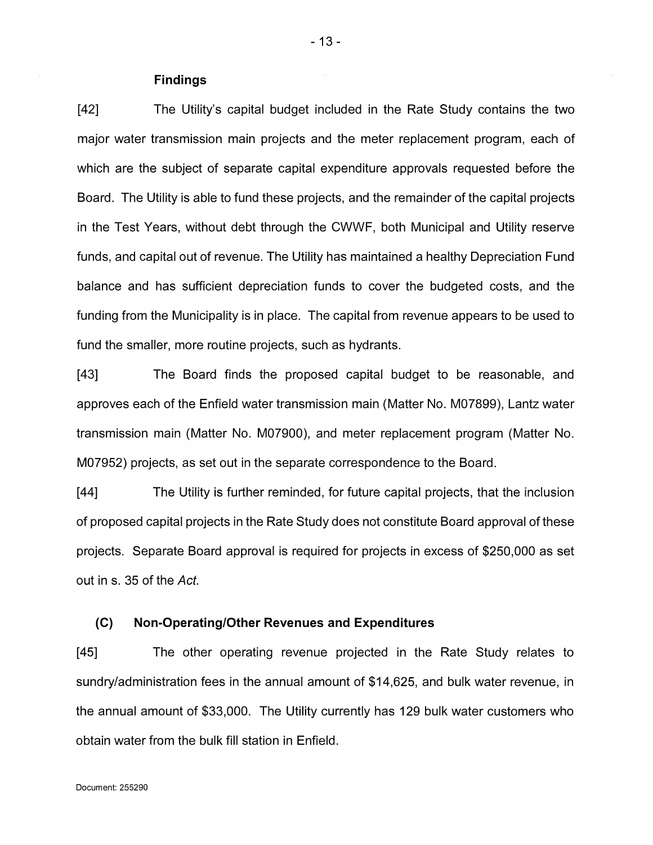#### **Findings**

[42] The Utility's capital budget included in the Rate Study contains the two major water transmission main projects and the meter replacement program, each of which are the subject of separate capital expenditure approvals requested before the Board. The Utility is able to fund these projects, and the remainder of the capital projects in the Test Years, without debt through the CWWF, both Municipal and Utility reserve funds, and capital out of revenue. The Utility has maintained a healthy Depreciation Fund balance and has sufficient depreciation funds to cover the budgeted costs, and the funding from the Municipality is in place. The capital from revenue appears to be used to fund the smaller, more routine projects, such as hydrants.

[43] The Board finds the proposed capital budget to be reasonable, and approves each of the Enfield water transmission main (Matter No. M07899), Lantz water transmission main (Matter No. M07900), and meter replacement program (Matter No. M07952) projects, as set out in the separate correspondence to the Board.

[44] The Utility is further reminded, for future capital projects, that the inclusion of proposed capital projects in the Rate Study does not constitute Board approval of these projects. Separate Board approval is required for projects in excess of \$250,000 as set out in s. 35 of the *Act.*

#### **(C) Non-Operating/Other Revenues and Expenditures**

[45] The other operating revenue projected in the Rate Study relates to sundry/administration fees in the annual amount of \$14,625, and bulk water revenue, in the annual amount of \$33,000. The Utility currently has 129 bulk water customers who obtain water from the bulk fill station in Enfield.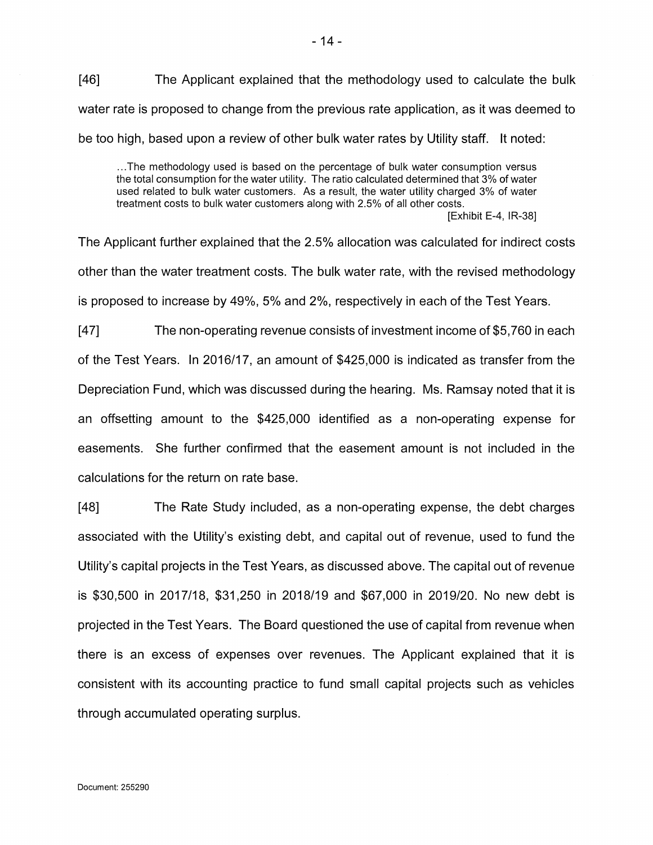[46] The Applicant explained that the methodology used to calculate the bulk water rate is proposed to change from the previous rate application, as it was deemed to be too high, based upon a review of other bulk water rates by Utility staff. It noted:

...The methodology used is based on the percentage of bulk water consumption versus the total consumption for the water utility. The ratio calculated determined that 3% of water used related to bulk water customers. As a result, the water utility charged 3% of water treatment costs to bulk water customers along with 2.5% of all other costs.

[Exhibit E-4, IR-38]

The Applicant further explained that the 2.5% allocation was calculated for indirect costs other than the water treatment costs. The bulk water rate, with the revised methodology is proposed to increase by 49%, 5% and 2%, respectively in each of the Test Years.

[47] The non-operating revenue consists of investment income of \$5,760 in each of the Test Years. In 2016/17, an amount of \$425,000 is indicated as transfer from the Depreciation Fund, which was discussed during the hearing. Ms. Ramsay noted that it is an offsetting amount to the \$425,000 identified as a non-operating expense for easements. She further confirmed that the easement amount is not included in the calculations for the return on rate base.

[48] The Rate Study included, as a non-operating expense, the debt charges associated with the Utility's existing debt, and capital out of revenue, used to fund the Utility's capital projects in the Test Years, as discussed above. The capital out of revenue is \$30,500 in 2017/18, \$31,250 in 2018/19 and \$67,000 in 2019/20. No new debt is projected in the Test Years. The Board questioned the use of capital from revenue when there is an excess of expenses over revenues. The Applicant explained that it is consistent with its accounting practice to fund small capital projects such as vehicles through accumulated operating surplus.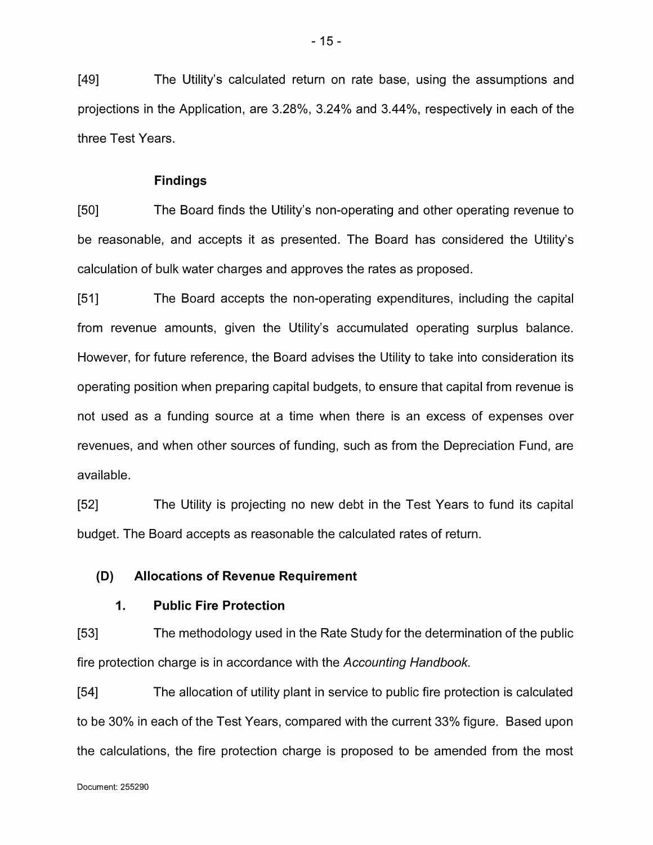[49] The Utility's calculated return on rate base, using the assumptions and projections in the Application, are 3.28%, 3.24% and 3.44%, respectively in each of the three Test Years.

#### **Findings**

[50] The Board finds the Utility's non-operating and other operating revenue to be reasonable, and accepts it as presented. The Board has considered the Utility's calculation of bulk water charges and approves the rates as proposed.

[51] The Board accepts the non-operating expenditures, including the capital from revenue amounts, given the Utility's accumulated operating surplus balance. However, for future reference, the Board advises the Utility to take into consideration its operating position when preparing capital budgets, to ensure that capital from revenue is not used as a funding source at a time when there is an excess of expenses over revenues, and when other sources of funding, such as from the Depreciation Fund, are available.

[52] The Utility is projecting no new debt in the Test Years to fund its capital budget. The Board accepts as reasonable the calculated rates of return.

#### **(D) Allocations of Revenue Requirement**

### **1. Public Fire Protection**

[53] The methodology used in the Rate Study for the determination of the public fire protection charge is in accordance with the *Accounting Handbook.*

[54] The allocation of utility plant in service to public fire protection is calculated to be 30% in each of the Test Years, compared with the current 33% figure. Based upon the calculations, the fire protection charge is proposed to be amended from the most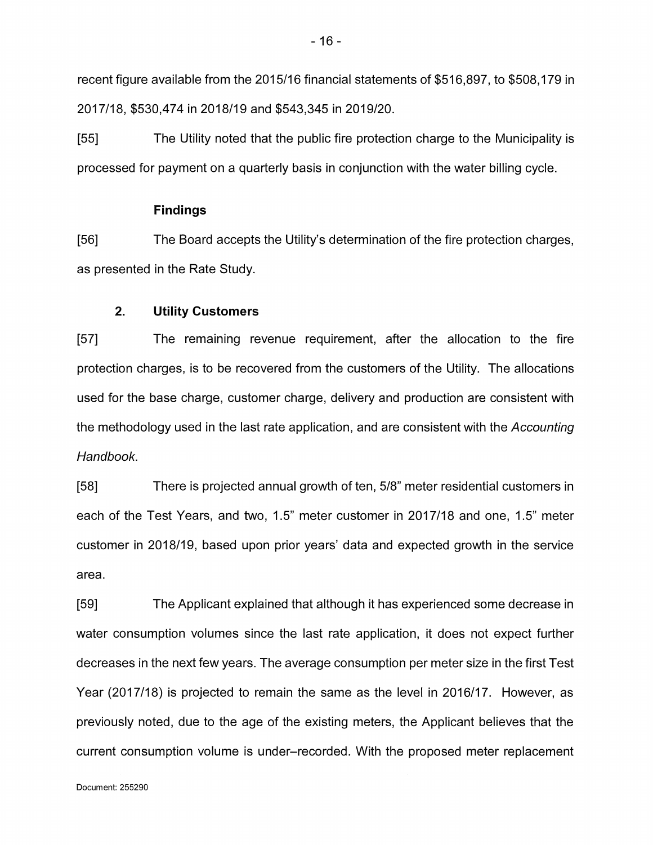recent figure available from the 2015/16 financial statements of \$516,897, to \$508,179 in 2017/18, \$530,474 in 2018/19 and \$543,345 in 2019/20.

[55] The Utility noted that the public fire protection charge to the Municipality is processed for payment on a quarterly basis in conjunction with the water billing cycle.

### **Findings**

[56] The Board accepts the Utility's determination of the fire protection charges, as presented in the Rate Study.

### **2. Utility Customers**

[57] The remaining revenue requirement, after the allocation to the fire protection charges, is to be recovered from the customers of the Utility. The allocations used for the base charge, customer charge, delivery and production are consistent with the methodology used in the last rate application, and are consistent with the *Accounting Handbook.*

[58] There is projected annual growth of ten, 5/8" meter residential customers in each of the Test Years, and two, 1.5" meter customer in 2017/18 and one, 1.5" meter customer in 2018/19, based upon prior years' data and expected growth in the service area.

[59] The Applicant explained that although it has experienced some decrease in water consumption volumes since the last rate application, it does not expect further decreases in the next few years. The average consumption per meter size in the first Test Year (2017/18) is projected to remain the same as the level in 2016/17. However, as previously noted, due to the age of the existing meters, the Applicant believes that the current consumption volume is under-recorded. With the proposed meter replacement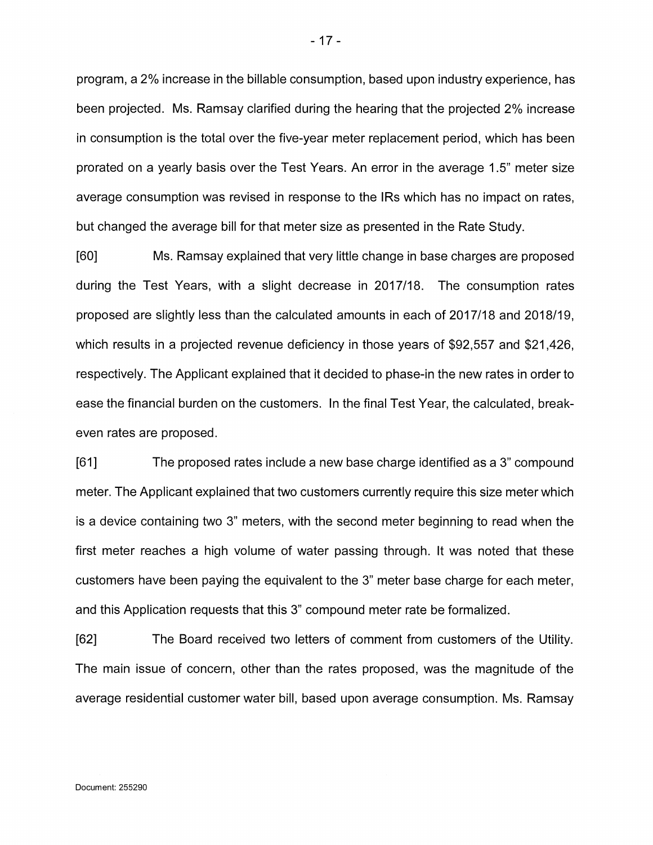program, a 2% increase in the billable consumption, based upon industry experience, has been projected. Ms. Ramsay clarified during the hearing that the projected 2% increase in consumption is the total over the five-year meter replacement period, which has been prorated on a yearly basis over the Test Years. An error in the average 1.5" meter size average consumption was revised in response to the IRs which has no impact on rates, but changed the average bill for that meter size as presented in the Rate Study.

[60] Ms. Ramsay explained that very little change in base charges are proposed during the Test Years, with a slight decrease in 2017/18. The consumption rates proposed are slightly less than the calculated amounts in each of 2017/18 and 2018/19, which results in a projected revenue deficiency in those years of \$92,557 and \$21,426, respectively. The Applicant explained that it decided to phase-in the new rates in order to ease the financial burden on the customers. In the final Test Year, the calculated, breakeven rates are proposed.

[61] The proposed rates include a new base charge identified as a 3" compound meter. The Applicant explained that two customers currently require this size meter which is a device containing two 3" meters, with the second meter beginning to read when the first meter reaches a high volume of water passing through. It was noted that these customers have been paying the equivalent to the 3" meter base charge for each meter, and this Application requests that this 3" compound meter rate be formalized.

[62] The Board received two letters of comment from customers of the Utility. The main issue of concern, other than the rates proposed, was the magnitude of the average residential customer water bill, based upon average consumption. Ms. Ramsay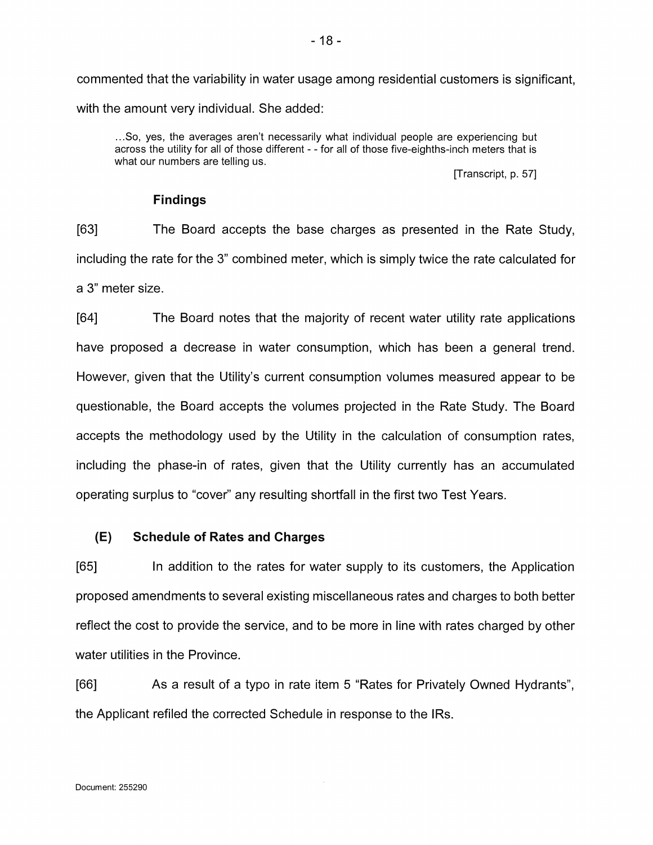commented that the variability in water usage among residential customers is significant, with the amount very individual. She added:

...So, yes, the averages aren't necessarily what individual people are experiencing but across the utility for all of those different - - for all of those five-eighths-inch meters that is what our numbers are telling us.

[Transcript, p. 57]

### **Findings**

[63] The Board accepts the base charges as presented in the Rate Study, including the rate for the 3" combined meter, which is simply twice the rate calculated for a 3" meter size.

[64] The Board notes that the majority of recent water utility rate applications have proposed a decrease in water consumption, which has been a general trend. However, given that the Utility's current consumption volumes measured appear to be questionable, the Board accepts the volumes projected in the Rate Study. The Board accepts the methodology used by the Utility in the calculation of consumption rates, including the phase-in of rates, given that the Utility currently has an accumulated operating surplus to "cover" any resulting shortfall in the first two Test Years.

### **(E)Schedule of Rates and Charges**

[65] In addition to the rates for water supply to its customers, the Application proposed amendments to several existing miscellaneous rates and charges to both better reflect the cost to provide the service, and to be more in line with rates charged by other water utilities in the Province.

[66] As a result of a typo in rate item 5 "Rates for Privately Owned Hydrants", the Applicant refiled the corrected Schedule in response to the IRs.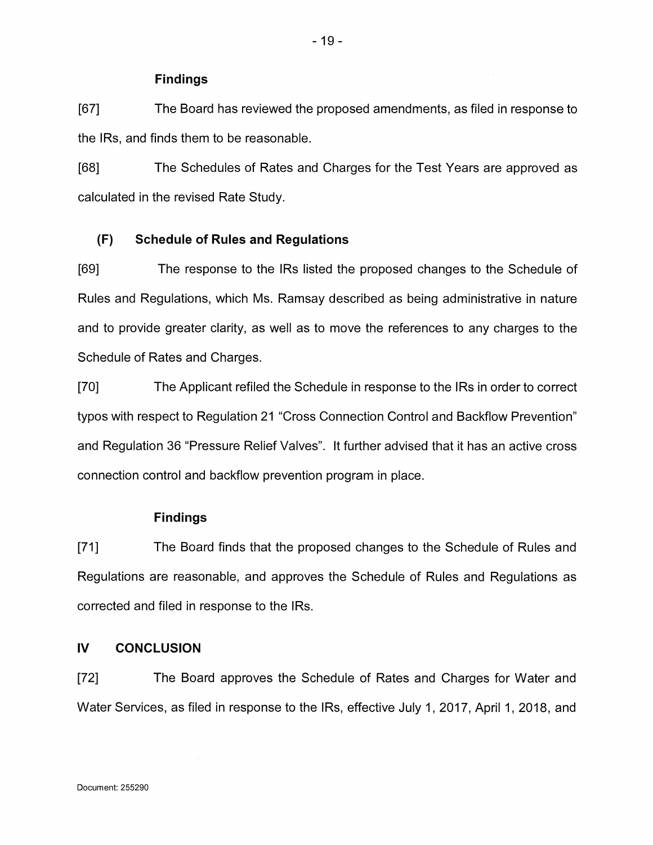### **Findings**

[67] The Board has reviewed the proposed amendments, as filed in response to the IRs, and finds them to be reasonable.

[68] The Schedules of Rates and Charges for the Test Years are approved as calculated in the revised Rate Study.

### **(F)Schedule of Rules and Regulations**

[69] The response to the IRs listed the proposed changes to the Schedule of Rules and Regulations, which Ms. Ramsay described as being administrative in nature and to provide greater clarity, as well as to move the references to any charges to the Schedule of Rates and Charges.

[70] The Applicant refiled the Schedule in response to the IRs in order to correct typos with respect to Regulation 21 "Cross Connection Control and Backflow Prevention" and Regulation 36 "Pressure Relief Valves". It further advised that it has an active cross connection control and backflow prevention program in place.

### **Findings**

[71] The Board finds that the proposed changes to the Schedule of Rules and Regulations are reasonable, and approves the Schedule of Rules and Regulations as corrected and filed in response to the IRs.

# **IV CONCLUSION**

[72] The Board approves the Schedule of Rates and Charges for Water and Water Services, as filed in response to the IRs, effective July 1, 2017, April 1, 2018, and